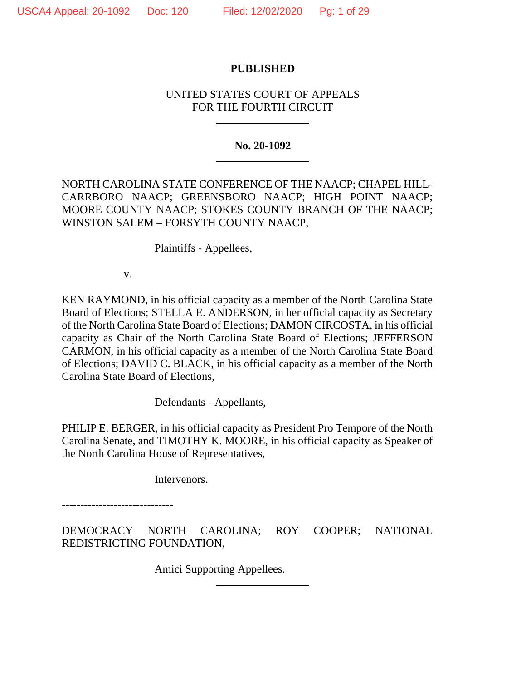# **PUBLISHED**

# UNITED STATES COURT OF APPEALS FOR THE FOURTH CIRCUIT

## **No. 20-1092**

NORTH CAROLINA STATE CONFERENCE OF THE NAACP; CHAPEL HILL-CARRBORO NAACP; GREENSBORO NAACP; HIGH POINT NAACP; MOORE COUNTY NAACP; STOKES COUNTY BRANCH OF THE NAACP; WINSTON SALEM – FORSYTH COUNTY NAACP,

Plaintiffs - Appellees,

v.

KEN RAYMOND, in his official capacity as a member of the North Carolina State Board of Elections; STELLA E. ANDERSON, in her official capacity as Secretary of the North Carolina State Board of Elections; DAMON CIRCOSTA, in his official capacity as Chair of the North Carolina State Board of Elections; JEFFERSON CARMON, in his official capacity as a member of the North Carolina State Board of Elections; DAVID C. BLACK, in his official capacity as a member of the North Carolina State Board of Elections,

Defendants - Appellants,

PHILIP E. BERGER, in his official capacity as President Pro Tempore of the North Carolina Senate, and TIMOTHY K. MOORE, in his official capacity as Speaker of the North Carolina House of Representatives,

Intervenors.

------------------------------

DEMOCRACY NORTH CAROLINA; ROY COOPER; NATIONAL REDISTRICTING FOUNDATION,

Amici Supporting Appellees.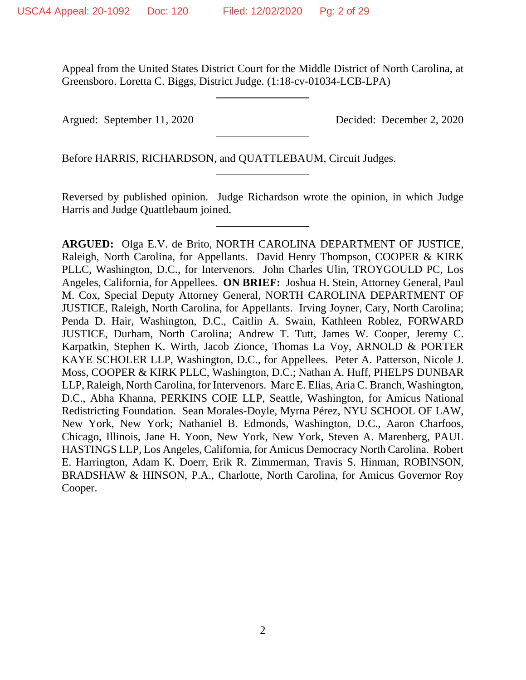Appeal from the United States District Court for the Middle District of North Carolina, at Greensboro. Loretta C. Biggs, District Judge. (1:18-cv-01034-LCB-LPA)

Argued: September 11, 2020 Decided: December 2, 2020

Before HARRIS, RICHARDSON, and QUATTLEBAUM, Circuit Judges.

Reversed by published opinion. Judge Richardson wrote the opinion, in which Judge Harris and Judge Quattlebaum joined.

**ARGUED:** Olga E.V. de Brito, NORTH CAROLINA DEPARTMENT OF JUSTICE, Raleigh, North Carolina, for Appellants. David Henry Thompson, COOPER & KIRK PLLC, Washington, D.C., for Intervenors. John Charles Ulin, TROYGOULD PC, Los Angeles, California, for Appellees. **ON BRIEF:** Joshua H. Stein, Attorney General, Paul M. Cox, Special Deputy Attorney General, NORTH CAROLINA DEPARTMENT OF JUSTICE, Raleigh, North Carolina, for Appellants. Irving Joyner, Cary, North Carolina; Penda D. Hair, Washington, D.C., Caitlin A. Swain, Kathleen Roblez, FORWARD JUSTICE, Durham, North Carolina; Andrew T. Tutt, James W. Cooper, Jeremy C. Karpatkin, Stephen K. Wirth, Jacob Zionce, Thomas La Voy, ARNOLD & PORTER KAYE SCHOLER LLP, Washington, D.C., for Appellees. Peter A. Patterson, Nicole J. Moss, COOPER & KIRK PLLC, Washington, D.C.; Nathan A. Huff, PHELPS DUNBAR LLP, Raleigh, North Carolina, for Intervenors. Marc E. Elias, Aria C. Branch, Washington, D.C., Abha Khanna, PERKINS COIE LLP, Seattle, Washington, for Amicus National Redistricting Foundation. Sean Morales-Doyle, Myrna Pérez, NYU SCHOOL OF LAW, New York, New York; Nathaniel B. Edmonds, Washington, D.C., Aaron Charfoos, Chicago, Illinois, Jane H. Yoon, New York, New York, Steven A. Marenberg, PAUL HASTINGS LLP, Los Angeles, California, for Amicus Democracy North Carolina. Robert E. Harrington, Adam K. Doerr, Erik R. Zimmerman, Travis S. Hinman, ROBINSON, BRADSHAW & HINSON, P.A., Charlotte, North Carolina, for Amicus Governor Roy Cooper.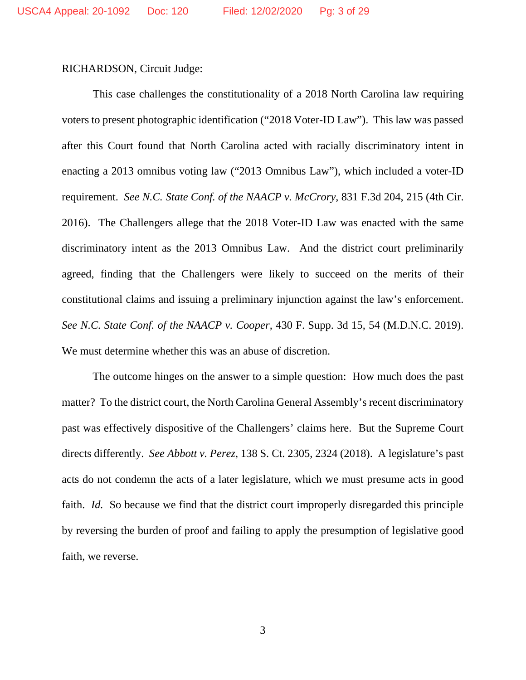RICHARDSON, Circuit Judge:

This case challenges the constitutionality of a 2018 North Carolina law requiring voters to present photographic identification ("2018 Voter-ID Law"). This law was passed after this Court found that North Carolina acted with racially discriminatory intent in enacting a 2013 omnibus voting law ("2013 Omnibus Law"), which included a voter-ID requirement. *See N.C. State Conf. of the NAACP v. McCrory*, 831 F.3d 204, 215 (4th Cir. 2016). The Challengers allege that the 2018 Voter-ID Law was enacted with the same discriminatory intent as the 2013 Omnibus Law. And the district court preliminarily agreed, finding that the Challengers were likely to succeed on the merits of their constitutional claims and issuing a preliminary injunction against the law's enforcement. *See N.C. State Conf. of the NAACP v. Cooper*, 430 F. Supp. 3d 15, 54 (M.D.N.C. 2019). We must determine whether this was an abuse of discretion.

The outcome hinges on the answer to a simple question: How much does the past matter? To the district court, the North Carolina General Assembly's recent discriminatory past was effectively dispositive of the Challengers' claims here. But the Supreme Court directs differently. *See Abbott v. Perez*, 138 S. Ct. 2305, 2324 (2018). A legislature's past acts do not condemn the acts of a later legislature, which we must presume acts in good faith. *Id.* So because we find that the district court improperly disregarded this principle by reversing the burden of proof and failing to apply the presumption of legislative good faith, we reverse.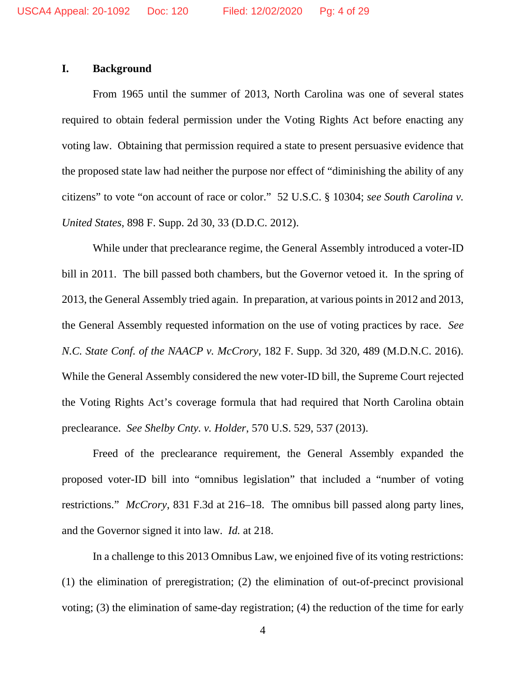## **I. Background**

From 1965 until the summer of 2013, North Carolina was one of several states required to obtain federal permission under the Voting Rights Act before enacting any voting law. Obtaining that permission required a state to present persuasive evidence that the proposed state law had neither the purpose nor effect of "diminishing the ability of any citizens" to vote "on account of race or color." 52 U.S.C. § 10304; *see South Carolina v. United States*, 898 F. Supp. 2d 30, 33 (D.D.C. 2012).

While under that preclearance regime, the General Assembly introduced a voter-ID bill in 2011. The bill passed both chambers, but the Governor vetoed it. In the spring of 2013, the General Assembly tried again. In preparation, at various points in 2012 and 2013, the General Assembly requested information on the use of voting practices by race. *See N.C. State Conf. of the NAACP v. McCrory*, 182 F. Supp. 3d 320, 489 (M.D.N.C. 2016). While the General Assembly considered the new voter-ID bill, the Supreme Court rejected the Voting Rights Act's coverage formula that had required that North Carolina obtain preclearance. *See Shelby Cnty. v. Holder*, 570 U.S. 529, 537 (2013).

Freed of the preclearance requirement, the General Assembly expanded the proposed voter-ID bill into "omnibus legislation" that included a "number of voting restrictions." *McCrory*, 831 F.3d at 216–18. The omnibus bill passed along party lines, and the Governor signed it into law. *Id.* at 218.

In a challenge to this 2013 Omnibus Law, we enjoined five of its voting restrictions: (1) the elimination of preregistration; (2) the elimination of out-of-precinct provisional voting; (3) the elimination of same-day registration; (4) the reduction of the time for early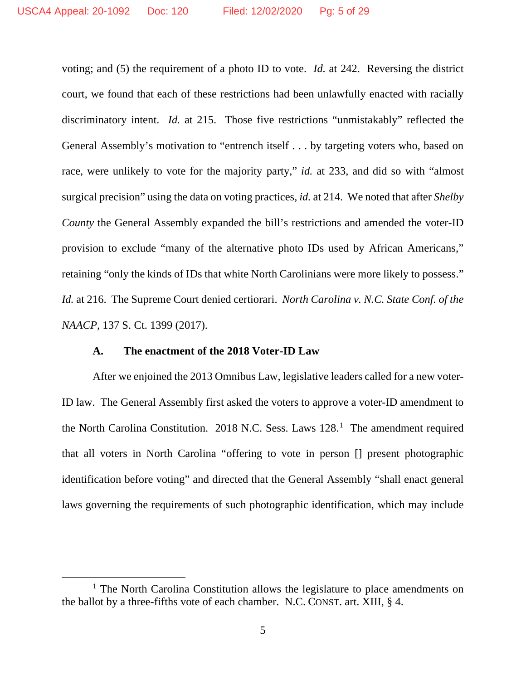voting; and (5) the requirement of a photo ID to vote. *Id.* at 242. Reversing the district court, we found that each of these restrictions had been unlawfully enacted with racially discriminatory intent. *Id.* at 215. Those five restrictions "unmistakably" reflected the General Assembly's motivation to "entrench itself . . . by targeting voters who, based on race, were unlikely to vote for the majority party," *id.* at 233, and did so with "almost surgical precision" using the data on voting practices, *id.* at 214. We noted that after *Shelby County* the General Assembly expanded the bill's restrictions and amended the voter-ID provision to exclude "many of the alternative photo IDs used by African Americans," retaining "only the kinds of IDs that white North Carolinians were more likely to possess." *Id.* at 216. The Supreme Court denied certiorari. *North Carolina v. N.C. State Conf. of the NAACP*, 137 S. Ct. 1399 (2017).

#### **A. The enactment of the 2018 Voter-ID Law**

After we enjoined the 2013 Omnibus Law, legislative leaders called for a new voter-ID law. The General Assembly first asked the voters to approve a voter-ID amendment to the North Carolina Constitution. 20[1](#page-4-0)8 N.C. Sess. Laws 128.<sup>1</sup> The amendment required that all voters in North Carolina "offering to vote in person [] present photographic identification before voting" and directed that the General Assembly "shall enact general laws governing the requirements of such photographic identification, which may include

<span id="page-4-0"></span><sup>&</sup>lt;sup>1</sup> The North Carolina Constitution allows the legislature to place amendments on the ballot by a three-fifths vote of each chamber. N.C. CONST. art. XIII, § 4.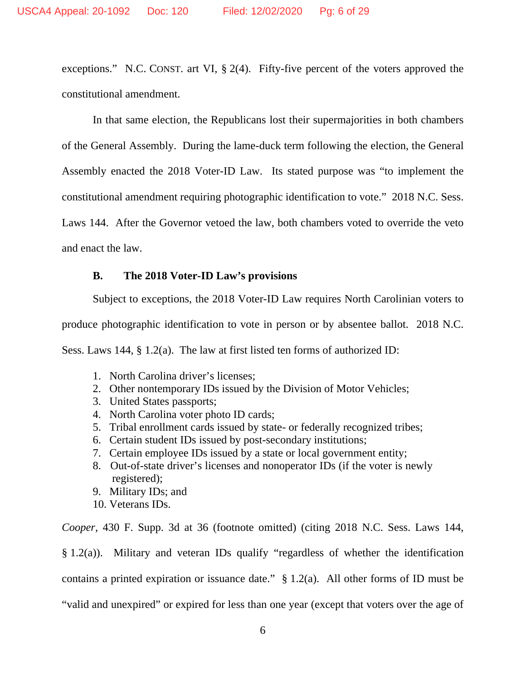exceptions." N.C. CONST. art VI, § 2(4). Fifty-five percent of the voters approved the constitutional amendment.

In that same election, the Republicans lost their supermajorities in both chambers of the General Assembly. During the lame-duck term following the election, the General Assembly enacted the 2018 Voter-ID Law. Its stated purpose was "to implement the constitutional amendment requiring photographic identification to vote." 2018 N.C. Sess. Laws 144. After the Governor vetoed the law, both chambers voted to override the veto and enact the law.

### **B. The 2018 Voter-ID Law's provisions**

Subject to exceptions, the 2018 Voter-ID Law requires North Carolinian voters to produce photographic identification to vote in person or by absentee ballot. 2018 N.C. Sess. Laws 144, § 1.2(a). The law at first listed ten forms of authorized ID:

- 1. North Carolina driver's licenses;
- 2. Other nontemporary IDs issued by the Division of Motor Vehicles;
- 3. United States passports;
- 4. North Carolina voter photo ID cards;
- 5. Tribal enrollment cards issued by state- or federally recognized tribes;
- 6. Certain student IDs issued by post-secondary institutions;
- 7. Certain employee IDs issued by a state or local government entity;
- 8. Out-of-state driver's licenses and nonoperator IDs (if the voter is newly registered);
- 9. Military IDs; and
- 10. Veterans IDs.

*Cooper*, 430 F. Supp. 3d at 36 (footnote omitted) (citing 2018 N.C. Sess. Laws 144,

§ 1.2(a)). Military and veteran IDs qualify "regardless of whether the identification

contains a printed expiration or issuance date."  $\S 1.2(a)$ . All other forms of ID must be

"valid and unexpired" or expired for less than one year (except that voters over the age of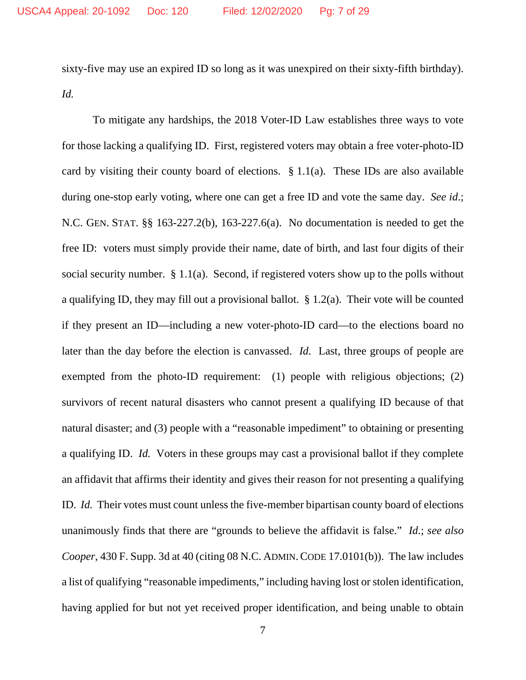sixty-five may use an expired ID so long as it was unexpired on their sixty-fifth birthday). *Id.*

To mitigate any hardships, the 2018 Voter-ID Law establishes three ways to vote for those lacking a qualifying ID. First, registered voters may obtain a free voter-photo-ID card by visiting their county board of elections.  $\S 1.1(a)$ . These IDs are also available during one-stop early voting, where one can get a free ID and vote the same day. *See id*.; N.C. GEN. STAT. §§ 163-227.2(b), 163-227.6(a). No documentation is needed to get the free ID: voters must simply provide their name, date of birth, and last four digits of their social security number. § 1.1(a). Second, if registered voters show up to the polls without a qualifying ID, they may fill out a provisional ballot.  $\S 1.2(a)$ . Their vote will be counted if they present an ID—including a new voter-photo-ID card—to the elections board no later than the day before the election is canvassed. *Id.* Last, three groups of people are exempted from the photo-ID requirement: (1) people with religious objections; (2) survivors of recent natural disasters who cannot present a qualifying ID because of that natural disaster; and (3) people with a "reasonable impediment" to obtaining or presenting a qualifying ID. *Id.* Voters in these groups may cast a provisional ballot if they complete an affidavit that affirms their identity and gives their reason for not presenting a qualifying ID. *Id.* Their votes must count unless the five-member bipartisan county board of elections unanimously finds that there are "grounds to believe the affidavit is false." *Id.*; *see also Cooper*, 430 F. Supp. 3d at 40 (citing 08 N.C. ADMIN. CODE 17.0101(b)). The law includes a list of qualifying "reasonable impediments," including having lost or stolen identification, having applied for but not yet received proper identification, and being unable to obtain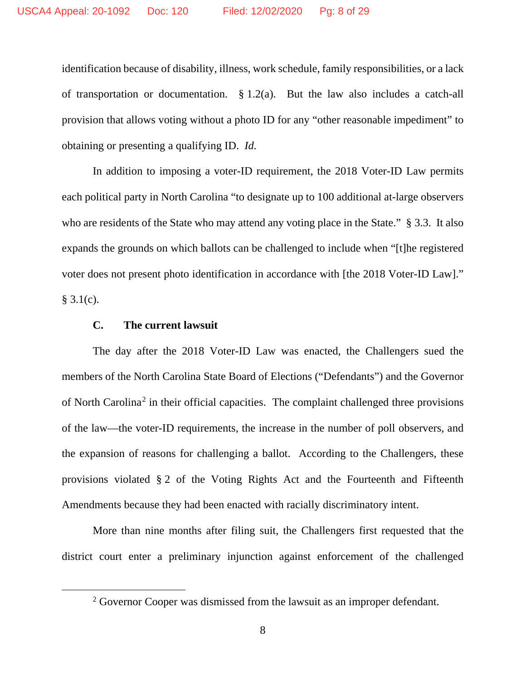identification because of disability, illness, work schedule, family responsibilities, or a lack of transportation or documentation. § 1.2(a). But the law also includes a catch-all provision that allows voting without a photo ID for any "other reasonable impediment" to obtaining or presenting a qualifying ID. *Id.*

In addition to imposing a voter-ID requirement, the 2018 Voter-ID Law permits each political party in North Carolina "to designate up to 100 additional at-large observers who are residents of the State who may attend any voting place in the State." § 3.3. It also expands the grounds on which ballots can be challenged to include when "[t]he registered voter does not present photo identification in accordance with [the 2018 Voter-ID Law]."  $§ 3.1(c).$ 

#### **C. The current lawsuit**

The day after the 2018 Voter-ID Law was enacted, the Challengers sued the members of the North Carolina State Board of Elections ("Defendants") and the Governor of North Carolina<sup>[2](#page-7-0)</sup> in their official capacities. The complaint challenged three provisions of the law—the voter-ID requirements, the increase in the number of poll observers, and the expansion of reasons for challenging a ballot. According to the Challengers, these provisions violated § 2 of the Voting Rights Act and the Fourteenth and Fifteenth Amendments because they had been enacted with racially discriminatory intent.

More than nine months after filing suit, the Challengers first requested that the district court enter a preliminary injunction against enforcement of the challenged

<span id="page-7-0"></span> $2^2$  Governor Cooper was dismissed from the lawsuit as an improper defendant.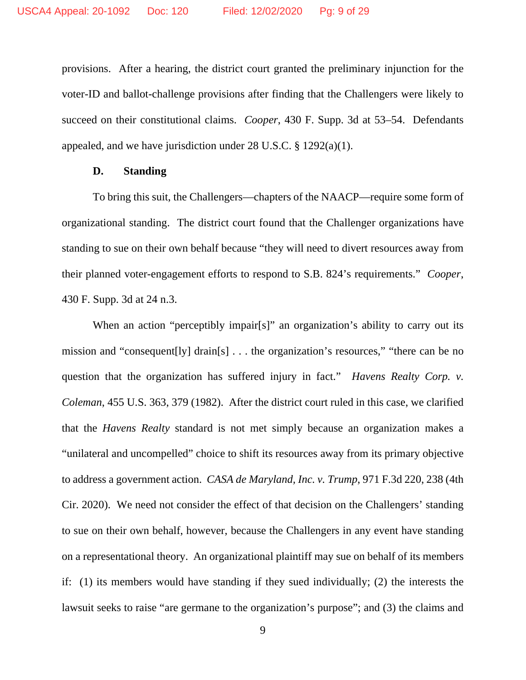provisions. After a hearing, the district court granted the preliminary injunction for the voter-ID and ballot-challenge provisions after finding that the Challengers were likely to succeed on their constitutional claims. *Cooper*, 430 F. Supp. 3d at 53–54. Defendants appealed, and we have jurisdiction under 28 U.S.C.  $\S$  1292(a)(1).

## **D. Standing**

To bring this suit, the Challengers—chapters of the NAACP—require some form of organizational standing. The district court found that the Challenger organizations have standing to sue on their own behalf because "they will need to divert resources away from their planned voter-engagement efforts to respond to S.B. 824's requirements." *Cooper*, 430 F. Supp. 3d at 24 n.3.

When an action "perceptibly impair[s]" an organization's ability to carry out its mission and "consequent[ly] drain[s] . . . the organization's resources," "there can be no question that the organization has suffered injury in fact." *Havens Realty Corp. v. Coleman*, 455 U.S. 363, 379 (1982). After the district court ruled in this case, we clarified that the *Havens Realty* standard is not met simply because an organization makes a "unilateral and uncompelled" choice to shift its resources away from its primary objective to address a government action. *CASA de Maryland, Inc. v. Trump*, 971 F.3d 220, 238 (4th Cir. 2020). We need not consider the effect of that decision on the Challengers' standing to sue on their own behalf, however, because the Challengers in any event have standing on a representational theory. An organizational plaintiff may sue on behalf of its members if: (1) its members would have standing if they sued individually; (2) the interests the lawsuit seeks to raise "are germane to the organization's purpose"; and (3) the claims and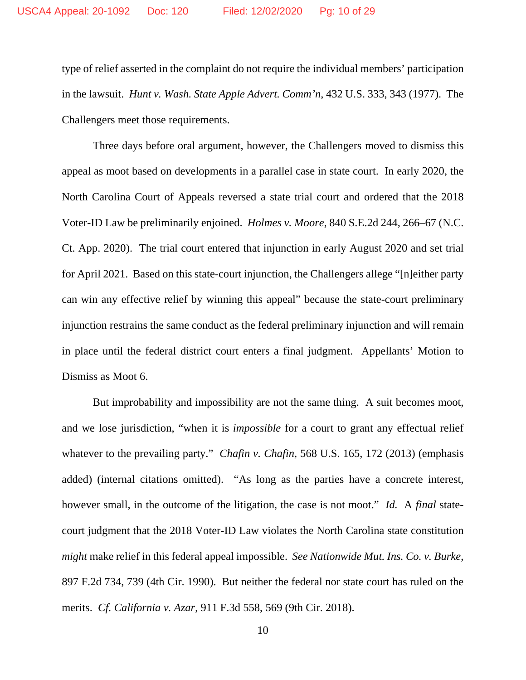type of relief asserted in the complaint do not require the individual members' participation in the lawsuit. *Hunt v. Wash. State Apple Advert. Comm'n*, 432 U.S. 333, 343 (1977). The Challengers meet those requirements.

Three days before oral argument, however, the Challengers moved to dismiss this appeal as moot based on developments in a parallel case in state court. In early 2020, the North Carolina Court of Appeals reversed a state trial court and ordered that the 2018 Voter-ID Law be preliminarily enjoined. *Holmes v. Moore*, 840 S.E.2d 244, 266–67 (N.C. Ct. App. 2020). The trial court entered that injunction in early August 2020 and set trial for April 2021. Based on this state-court injunction, the Challengers allege "[n]either party can win any effective relief by winning this appeal" because the state-court preliminary injunction restrains the same conduct as the federal preliminary injunction and will remain in place until the federal district court enters a final judgment. Appellants' Motion to Dismiss as Moot 6.

But improbability and impossibility are not the same thing. A suit becomes moot, and we lose jurisdiction, "when it is *impossible* for a court to grant any effectual relief whatever to the prevailing party." *Chafin v. Chafin*, 568 U.S. 165, 172 (2013) (emphasis added) (internal citations omitted). "As long as the parties have a concrete interest, however small, in the outcome of the litigation, the case is not moot." *Id.* A *final* statecourt judgment that the 2018 Voter-ID Law violates the North Carolina state constitution *might* make relief in this federal appeal impossible. *See Nationwide Mut. Ins. Co. v. Burke*, 897 F.2d 734, 739 (4th Cir. 1990). But neither the federal nor state court has ruled on the merits. *Cf. California v. Azar*, 911 F.3d 558, 569 (9th Cir. 2018).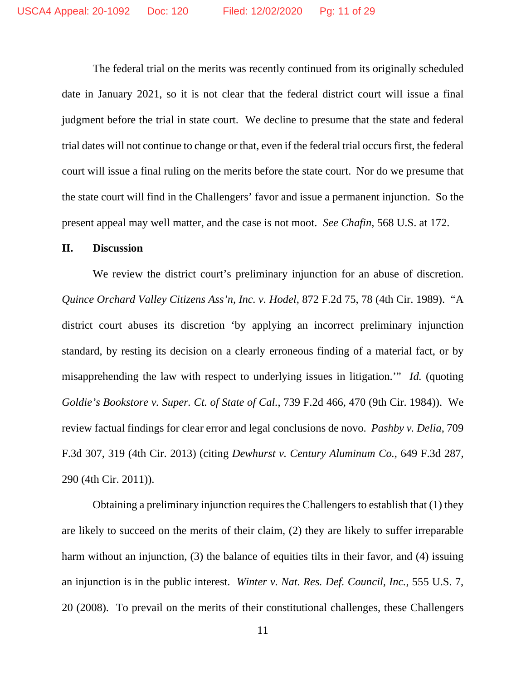The federal trial on the merits was recently continued from its originally scheduled date in January 2021, so it is not clear that the federal district court will issue a final judgment before the trial in state court. We decline to presume that the state and federal trial dates will not continue to change or that, even if the federal trial occurs first, the federal court will issue a final ruling on the merits before the state court. Nor do we presume that the state court will find in the Challengers' favor and issue a permanent injunction. So the present appeal may well matter, and the case is not moot. *See Chafin*, 568 U.S. at 172.

#### **II. Discussion**

We review the district court's preliminary injunction for an abuse of discretion. *Quince Orchard Valley Citizens Ass'n, Inc. v. Hodel*, 872 F.2d 75, 78 (4th Cir. 1989). "A district court abuses its discretion 'by applying an incorrect preliminary injunction standard, by resting its decision on a clearly erroneous finding of a material fact, or by misapprehending the law with respect to underlying issues in litigation.'" *Id.* (quoting *Goldie's Bookstore v. Super. Ct. of State of Cal.*, 739 F.2d 466, 470 (9th Cir. 1984)). We review factual findings for clear error and legal conclusions de novo. *Pashby v. Delia*, 709 F.3d 307, 319 (4th Cir. 2013) (citing *Dewhurst v. Century Aluminum Co.*, 649 F.3d 287, 290 (4th Cir. 2011)).

Obtaining a preliminary injunction requires the Challengers to establish that (1) they are likely to succeed on the merits of their claim, (2) they are likely to suffer irreparable harm without an injunction, (3) the balance of equities tilts in their favor, and (4) issuing an injunction is in the public interest. *Winter v. Nat. Res. Def. Council, Inc.*, 555 U.S. 7, 20 (2008). To prevail on the merits of their constitutional challenges, these Challengers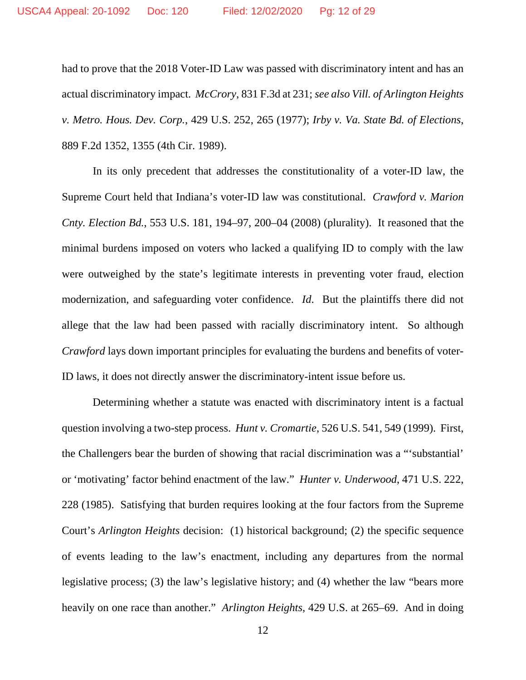had to prove that the 2018 Voter-ID Law was passed with discriminatory intent and has an actual discriminatory impact. *McCrory*, 831 F.3d at 231; *see also Vill. of Arlington Heights v. Metro. Hous. Dev. Corp.*, 429 U.S. 252, 265 (1977); *Irby v. Va. State Bd. of Elections*, 889 F.2d 1352, 1355 (4th Cir. 1989).

In its only precedent that addresses the constitutionality of a voter-ID law, the Supreme Court held that Indiana's voter-ID law was constitutional. *Crawford v. Marion Cnty. Election Bd.*, 553 U.S. 181, 194–97, 200–04 (2008) (plurality). It reasoned that the minimal burdens imposed on voters who lacked a qualifying ID to comply with the law were outweighed by the state's legitimate interests in preventing voter fraud, election modernization, and safeguarding voter confidence. *Id*. But the plaintiffs there did not allege that the law had been passed with racially discriminatory intent. So although *Crawford* lays down important principles for evaluating the burdens and benefits of voter-ID laws, it does not directly answer the discriminatory-intent issue before us.

Determining whether a statute was enacted with discriminatory intent is a factual question involving a two-step process. *Hunt v. Cromartie*, 526 U.S. 541, 549 (1999). First, the Challengers bear the burden of showing that racial discrimination was a "'substantial' or 'motivating' factor behind enactment of the law." *Hunter v. Underwood*, 471 U.S. 222, 228 (1985). Satisfying that burden requires looking at the four factors from the Supreme Court's *Arlington Heights* decision: (1) historical background; (2) the specific sequence of events leading to the law's enactment, including any departures from the normal legislative process; (3) the law's legislative history; and (4) whether the law "bears more heavily on one race than another." *Arlington Heights*, 429 U.S. at 265–69. And in doing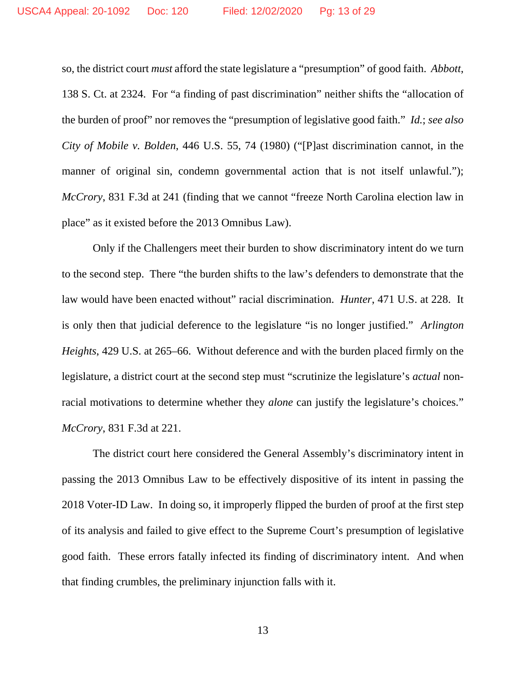so, the district court *must* afford the state legislature a "presumption" of good faith. *Abbott*, 138 S. Ct. at 2324. For "a finding of past discrimination" neither shifts the "allocation of the burden of proof" nor removes the "presumption of legislative good faith." *Id.*; *see also City of Mobile v. Bolden*, 446 U.S. 55, 74 (1980) ("[P]ast discrimination cannot, in the manner of original sin, condemn governmental action that is not itself unlawful."); *McCrory*, 831 F.3d at 241 (finding that we cannot "freeze North Carolina election law in place" as it existed before the 2013 Omnibus Law).

Only if the Challengers meet their burden to show discriminatory intent do we turn to the second step. There "the burden shifts to the law's defenders to demonstrate that the law would have been enacted without" racial discrimination. *Hunter*, 471 U.S. at 228. It is only then that judicial deference to the legislature "is no longer justified." *Arlington Heights*, 429 U.S. at 265–66. Without deference and with the burden placed firmly on the legislature, a district court at the second step must "scrutinize the legislature's *actual* nonracial motivations to determine whether they *alone* can justify the legislature's choices." *McCrory*, 831 F.3d at 221.

The district court here considered the General Assembly's discriminatory intent in passing the 2013 Omnibus Law to be effectively dispositive of its intent in passing the 2018 Voter-ID Law. In doing so, it improperly flipped the burden of proof at the first step of its analysis and failed to give effect to the Supreme Court's presumption of legislative good faith. These errors fatally infected its finding of discriminatory intent. And when that finding crumbles, the preliminary injunction falls with it.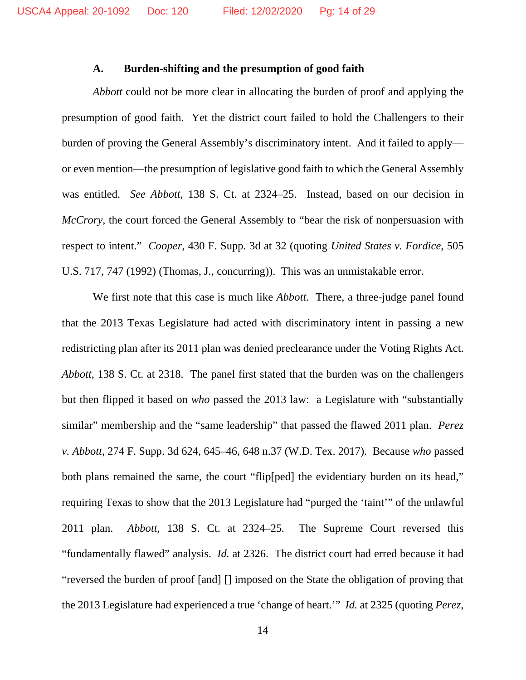#### **A. Burden-shifting and the presumption of good faith**

*Abbott* could not be more clear in allocating the burden of proof and applying the presumption of good faith. Yet the district court failed to hold the Challengers to their burden of proving the General Assembly's discriminatory intent. And it failed to apply or even mention—the presumption of legislative good faith to which the General Assembly was entitled. *See Abbott*, 138 S. Ct. at 2324–25. Instead, based on our decision in *McCrory*, the court forced the General Assembly to "bear the risk of nonpersuasion with respect to intent." *Cooper*, 430 F. Supp. 3d at 32 (quoting *United States v. Fordice*, 505 U.S. 717, 747 (1992) (Thomas, J., concurring)). This was an unmistakable error.

We first note that this case is much like *Abbott*. There, a three-judge panel found that the 2013 Texas Legislature had acted with discriminatory intent in passing a new redistricting plan after its 2011 plan was denied preclearance under the Voting Rights Act. *Abbott*, 138 S. Ct. at 2318. The panel first stated that the burden was on the challengers but then flipped it based on *who* passed the 2013 law: a Legislature with "substantially similar" membership and the "same leadership" that passed the flawed 2011 plan. *Perez v. Abbott*, 274 F. Supp. 3d 624, 645–46, 648 n.37 (W.D. Tex. 2017). Because *who* passed both plans remained the same, the court "flip[ped] the evidentiary burden on its head," requiring Texas to show that the 2013 Legislature had "purged the 'taint'" of the unlawful 2011 plan. *Abbott*, 138 S. Ct. at 2324–25*.* The Supreme Court reversed this "fundamentally flawed" analysis. *Id.* at 2326. The district court had erred because it had "reversed the burden of proof [and] [] imposed on the State the obligation of proving that the 2013 Legislature had experienced a true 'change of heart.'" *Id.* at 2325 (quoting *Perez*,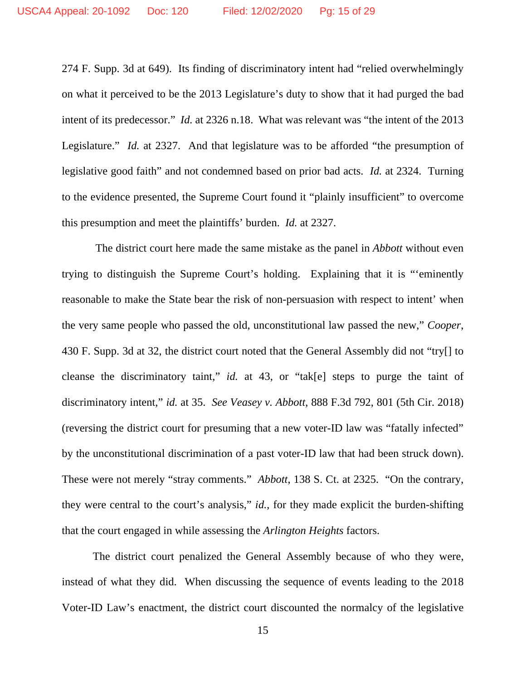274 F. Supp. 3d at 649). Its finding of discriminatory intent had "relied overwhelmingly on what it perceived to be the 2013 Legislature's duty to show that it had purged the bad intent of its predecessor." *Id.* at 2326 n.18. What was relevant was "the intent of the 2013 Legislature." *Id.* at 2327. And that legislature was to be afforded "the presumption of legislative good faith" and not condemned based on prior bad acts. *Id.* at 2324. Turning to the evidence presented, the Supreme Court found it "plainly insufficient" to overcome this presumption and meet the plaintiffs' burden. *Id.* at 2327.

The district court here made the same mistake as the panel in *Abbott* without even trying to distinguish the Supreme Court's holding. Explaining that it is "'eminently reasonable to make the State bear the risk of non-persuasion with respect to intent' when the very same people who passed the old, unconstitutional law passed the new," *Cooper*, 430 F. Supp. 3d at 32, the district court noted that the General Assembly did not "try[] to cleanse the discriminatory taint," *id.* at 43, or "tak[e] steps to purge the taint of discriminatory intent," *id.* at 35. *See Veasey v. Abbott*, 888 F.3d 792, 801 (5th Cir. 2018) (reversing the district court for presuming that a new voter-ID law was "fatally infected" by the unconstitutional discrimination of a past voter-ID law that had been struck down). These were not merely "stray comments." *Abbott*, 138 S. Ct. at 2325. "On the contrary, they were central to the court's analysis," *id.*, for they made explicit the burden-shifting that the court engaged in while assessing the *Arlington Heights* factors.

The district court penalized the General Assembly because of who they were, instead of what they did. When discussing the sequence of events leading to the 2018 Voter-ID Law's enactment, the district court discounted the normalcy of the legislative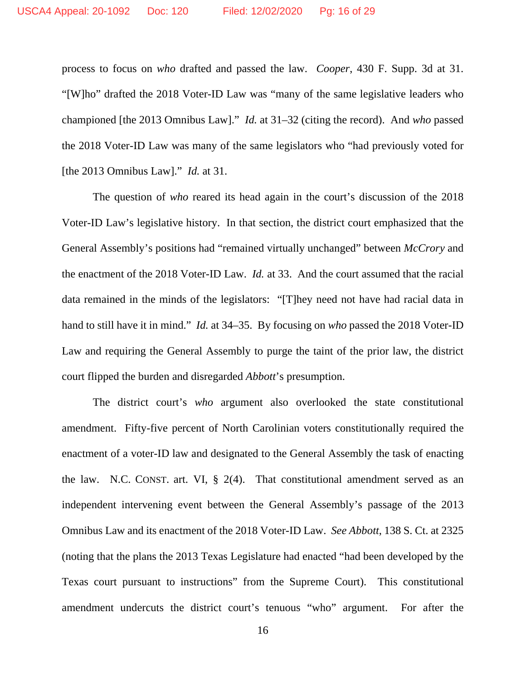process to focus on *who* drafted and passed the law. *Cooper*, 430 F. Supp. 3d at 31. "[W]ho" drafted the 2018 Voter-ID Law was "many of the same legislative leaders who championed [the 2013 Omnibus Law]." *Id.* at 31–32 (citing the record). And *who* passed the 2018 Voter-ID Law was many of the same legislators who "had previously voted for [the 2013 Omnibus Law]." *Id.* at 31.

The question of *who* reared its head again in the court's discussion of the 2018 Voter-ID Law's legislative history. In that section, the district court emphasized that the General Assembly's positions had "remained virtually unchanged" between *McCrory* and the enactment of the 2018 Voter-ID Law. *Id.* at 33. And the court assumed that the racial data remained in the minds of the legislators: "[T]hey need not have had racial data in hand to still have it in mind." *Id.* at 34–35. By focusing on *who* passed the 2018 Voter-ID Law and requiring the General Assembly to purge the taint of the prior law, the district court flipped the burden and disregarded *Abbott*'s presumption.

The district court's *who* argument also overlooked the state constitutional amendment. Fifty-five percent of North Carolinian voters constitutionally required the enactment of a voter-ID law and designated to the General Assembly the task of enacting the law. N.C. CONST. art. VI, § 2(4). That constitutional amendment served as an independent intervening event between the General Assembly's passage of the 2013 Omnibus Law and its enactment of the 2018 Voter-ID Law. *See Abbott*, 138 S. Ct. at 2325 (noting that the plans the 2013 Texas Legislature had enacted "had been developed by the Texas court pursuant to instructions" from the Supreme Court). This constitutional amendment undercuts the district court's tenuous "who" argument. For after the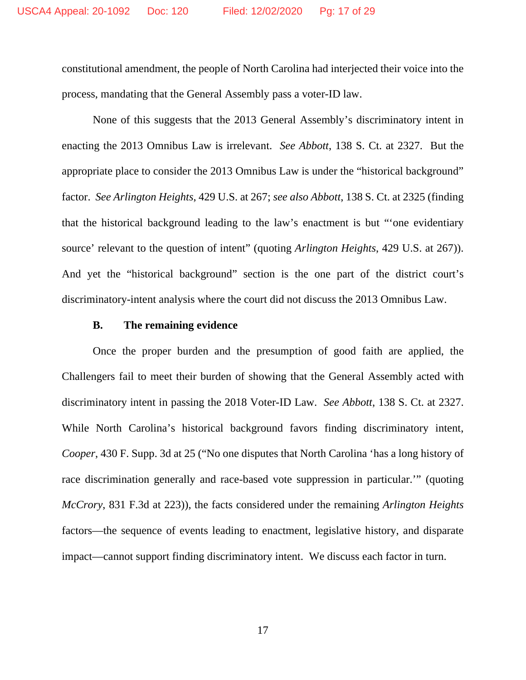constitutional amendment, the people of North Carolina had interjected their voice into the process, mandating that the General Assembly pass a voter-ID law.

None of this suggests that the 2013 General Assembly's discriminatory intent in enacting the 2013 Omnibus Law is irrelevant. *See Abbott*, 138 S. Ct. at 2327. But the appropriate place to consider the 2013 Omnibus Law is under the "historical background" factor. *See Arlington Heights*, 429 U.S. at 267; *see also Abbott*, 138 S. Ct. at 2325 (finding that the historical background leading to the law's enactment is but "'one evidentiary source' relevant to the question of intent" (quoting *Arlington Heights*, 429 U.S. at 267)). And yet the "historical background" section is the one part of the district court's discriminatory-intent analysis where the court did not discuss the 2013 Omnibus Law.

#### **B. The remaining evidence**

Once the proper burden and the presumption of good faith are applied, the Challengers fail to meet their burden of showing that the General Assembly acted with discriminatory intent in passing the 2018 Voter-ID Law. *See Abbott*, 138 S. Ct. at 2327. While North Carolina's historical background favors finding discriminatory intent, *Cooper*, 430 F. Supp. 3d at 25 ("No one disputes that North Carolina 'has a long history of race discrimination generally and race-based vote suppression in particular.'" (quoting *McCrory*, 831 F.3d at 223)), the facts considered under the remaining *Arlington Heights* factors—the sequence of events leading to enactment, legislative history, and disparate impact—cannot support finding discriminatory intent. We discuss each factor in turn.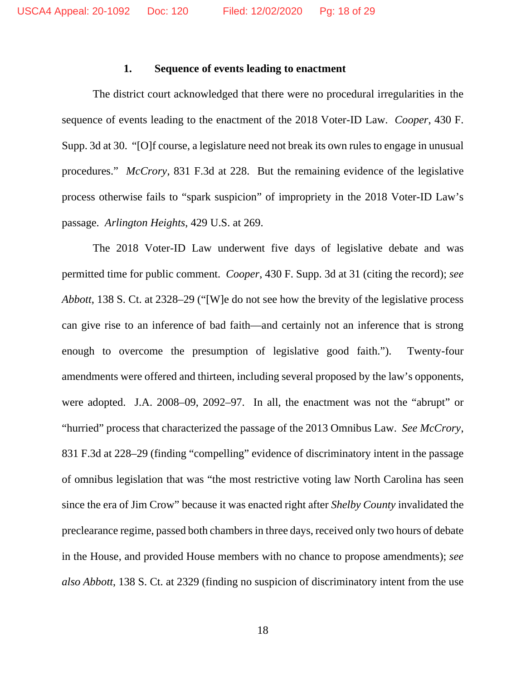#### **1. Sequence of events leading to enactment**

The district court acknowledged that there were no procedural irregularities in the sequence of events leading to the enactment of the 2018 Voter-ID Law. *Cooper*, 430 F. Supp. 3d at 30. "[O]f course, a legislature need not break its own rules to engage in unusual procedures." *McCrory*, 831 F.3d at 228. But the remaining evidence of the legislative process otherwise fails to "spark suspicion" of impropriety in the 2018 Voter-ID Law's passage. *Arlington Heights*, 429 U.S. at 269.

The 2018 Voter-ID Law underwent five days of legislative debate and was permitted time for public comment. *Cooper*, 430 F. Supp. 3d at 31 (citing the record); *see Abbott*, 138 S. Ct. at 2328–29 ("[W]e do not see how the brevity of the legislative process can give rise to an inference of bad faith—and certainly not an inference that is strong enough to overcome the presumption of legislative good faith."). Twenty-four amendments were offered and thirteen, including several proposed by the law's opponents, were adopted. J.A. 2008–09, 2092–97. In all, the enactment was not the "abrupt" or "hurried" process that characterized the passage of the 2013 Omnibus Law. *See McCrory*, 831 F.3d at 228–29 (finding "compelling" evidence of discriminatory intent in the passage of omnibus legislation that was "the most restrictive voting law North Carolina has seen since the era of Jim Crow" because it was enacted right after *Shelby County* invalidated the preclearance regime, passed both chambers in three days, received only two hours of debate in the House, and provided House members with no chance to propose amendments); *see also Abbott*, 138 S. Ct. at 2329 (finding no suspicion of discriminatory intent from the use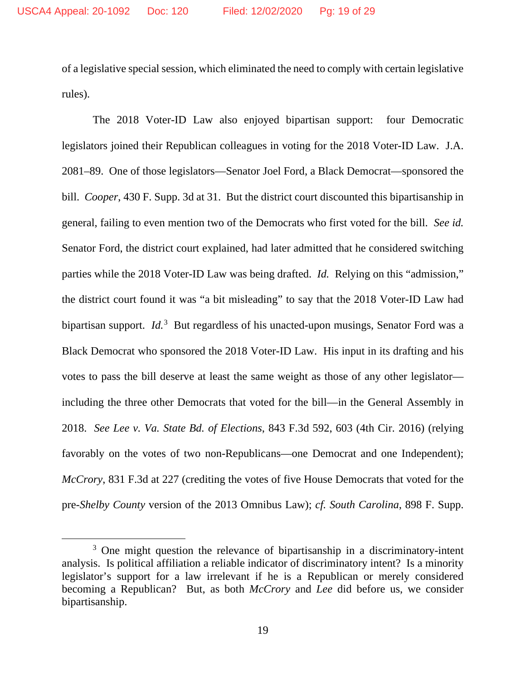of a legislative special session, which eliminated the need to comply with certain legislative rules).

The 2018 Voter-ID Law also enjoyed bipartisan support: four Democratic legislators joined their Republican colleagues in voting for the 2018 Voter-ID Law. J.A. 2081–89. One of those legislators—Senator Joel Ford, a Black Democrat—sponsored the bill. *Cooper*, 430 F. Supp. 3d at 31. But the district court discounted this bipartisanship in general, failing to even mention two of the Democrats who first voted for the bill. *See id.*  Senator Ford, the district court explained, had later admitted that he considered switching parties while the 2018 Voter-ID Law was being drafted. *Id.* Relying on this "admission," the district court found it was "a bit misleading" to say that the 2018 Voter-ID Law had bipartisan support. *Id.*[3](#page-18-0) But regardless of his unacted-upon musings, Senator Ford was a Black Democrat who sponsored the 2018 Voter-ID Law. His input in its drafting and his votes to pass the bill deserve at least the same weight as those of any other legislator including the three other Democrats that voted for the bill—in the General Assembly in 2018. *See Lee v. Va. State Bd. of Elections*, 843 F.3d 592, 603 (4th Cir. 2016) (relying favorably on the votes of two non-Republicans—one Democrat and one Independent); *McCrory*, 831 F.3d at 227 (crediting the votes of five House Democrats that voted for the pre-*Shelby County* version of the 2013 Omnibus Law); *cf. South Carolina*, 898 F. Supp.

<span id="page-18-0"></span><sup>&</sup>lt;sup>3</sup> One might question the relevance of bipartisanship in a discriminatory-intent analysis. Is political affiliation a reliable indicator of discriminatory intent? Is a minority legislator's support for a law irrelevant if he is a Republican or merely considered becoming a Republican? But, as both *McCrory* and *Lee* did before us, we consider bipartisanship.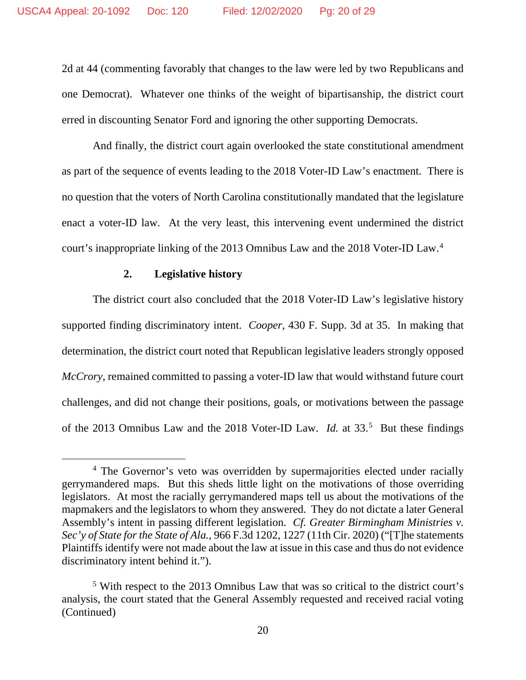2d at 44 (commenting favorably that changes to the law were led by two Republicans and one Democrat). Whatever one thinks of the weight of bipartisanship, the district court erred in discounting Senator Ford and ignoring the other supporting Democrats.

And finally, the district court again overlooked the state constitutional amendment as part of the sequence of events leading to the 2018 Voter-ID Law's enactment. There is no question that the voters of North Carolina constitutionally mandated that the legislature enact a voter-ID law. At the very least, this intervening event undermined the district court's inappropriate linking of the 2013 Omnibus Law and the 2018 Voter-ID Law. [4](#page-19-0)

### **2. Legislative history**

The district court also concluded that the 2018 Voter-ID Law's legislative history supported finding discriminatory intent. *Cooper*, 430 F. Supp. 3d at 35. In making that determination, the district court noted that Republican legislative leaders strongly opposed *McCrory*, remained committed to passing a voter-ID law that would withstand future court challenges, and did not change their positions, goals, or motivations between the passage of the 2013 Omnibus Law and the 2018 Voter-ID Law. *Id.* at 33.<sup>[5](#page-19-1)</sup> But these findings

<span id="page-19-0"></span><sup>&</sup>lt;sup>4</sup> The Governor's veto was overridden by supermajorities elected under racially gerrymandered maps. But this sheds little light on the motivations of those overriding legislators. At most the racially gerrymandered maps tell us about the motivations of the mapmakers and the legislators to whom they answered. They do not dictate a later General Assembly's intent in passing different legislation. *Cf. Greater Birmingham Ministries v. Sec'y of State for the State of Ala.*, 966 F.3d 1202, 1227 (11th Cir. 2020) ("[T]he statements Plaintiffs identify were not made about the law at issue in this case and thus do not evidence discriminatory intent behind it.").

<span id="page-19-1"></span><sup>5</sup> With respect to the 2013 Omnibus Law that was so critical to the district court's analysis, the court stated that the General Assembly requested and received racial voting (Continued)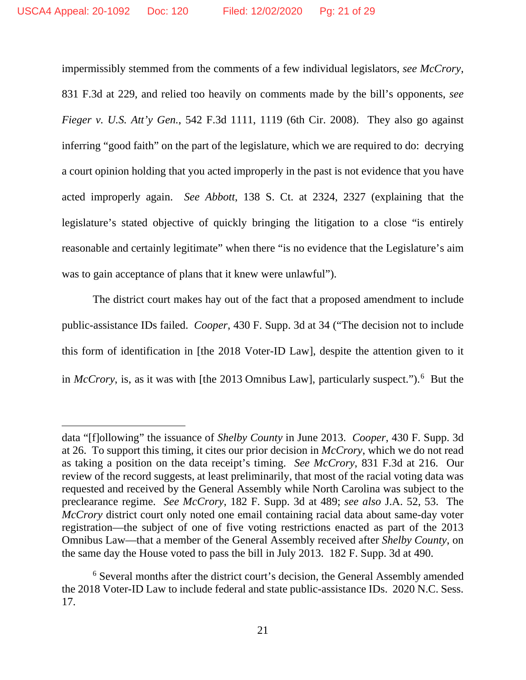impermissibly stemmed from the comments of a few individual legislators, *see McCrory*, 831 F.3d at 229, and relied too heavily on comments made by the bill's opponents, *see Fieger v. U.S. Att'y Gen.*, 542 F.3d 1111, 1119 (6th Cir. 2008). They also go against inferring "good faith" on the part of the legislature, which we are required to do: decrying a court opinion holding that you acted improperly in the past is not evidence that you have acted improperly again. *See Abbott*, 138 S. Ct. at 2324, 2327 (explaining that the legislature's stated objective of quickly bringing the litigation to a close "is entirely reasonable and certainly legitimate" when there "is no evidence that the Legislature's aim was to gain acceptance of plans that it knew were unlawful").

The district court makes hay out of the fact that a proposed amendment to include public-assistance IDs failed. *Cooper*, 430 F. Supp. 3d at 34 ("The decision not to include this form of identification in [the 2018 Voter-ID Law], despite the attention given to it in *[McCrory](https://1.next.westlaw.com/Link/Document/FullText?findType=Y&serNum=2039464113&pubNum=0000506&originatingDoc=I42b50c602d4b11eaa49a848616f1a2d2&refType=RP&originationContext=document&transitionType=DocumentItem&contextData=(sc.Default))*, is, as it was with [the 2013 Omnibus Law], particularly suspect."). [6](#page-20-0) But the

data "[f]ollowing" the issuance of *Shelby County* in June 2013. *Cooper*, 430 F. Supp. 3d at 26. To support this timing, it cites our prior decision in *McCrory*, which we do not read as taking a position on the data receipt's timing. *See McCrory*, 831 F.3d at 216. Our review of the record suggests, at least preliminarily, that most of the racial voting data was requested and received by the General Assembly while North Carolina was subject to the preclearance regime. *See McCrory*, 182 F. Supp. 3d at 489; *see also* J.A. 52, 53. The *McCrory* district court only noted one email containing racial data about same-day voter registration—the subject of one of five voting restrictions enacted as part of the 2013 Omnibus Law—that a member of the General Assembly received after *Shelby County*, on the same day the House voted to pass the bill in July 2013. 182 F. Supp. 3d at 490.

<span id="page-20-0"></span><sup>6</sup> Several months after the district court's decision, the General Assembly amended the 2018 Voter-ID Law to include federal and state public-assistance IDs. 2020 N.C. Sess. 17.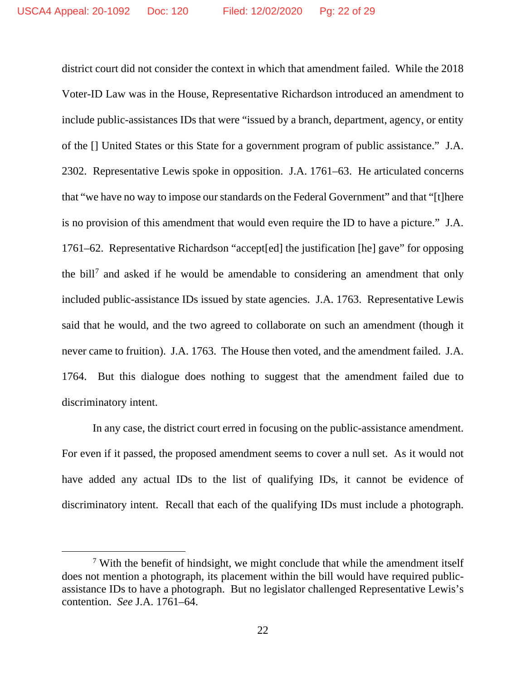district court did not consider the context in which that amendment failed. While the 2018 Voter-ID Law was in the House, Representative Richardson introduced an amendment to include public-assistances IDs that were "issued by a branch, department, agency, or entity of the [] United States or this State for a government program of public assistance." J.A. 2302. Representative Lewis spoke in opposition. J.A. 1761–63. He articulated concerns that "we have no way to impose our standards on the Federal Government" and that "[t]here is no provision of this amendment that would even require the ID to have a picture." J.A. 1761–62. Representative Richardson "accept[ed] the justification [he] gave" for opposing the bill<sup>[7](#page-21-0)</sup> and asked if he would be amendable to considering an amendment that only included public-assistance IDs issued by state agencies. J.A. 1763. Representative Lewis said that he would, and the two agreed to collaborate on such an amendment (though it never came to fruition). J.A. 1763. The House then voted, and the amendment failed. J.A. 1764. But this dialogue does nothing to suggest that the amendment failed due to discriminatory intent.

In any case, the district court erred in focusing on the public-assistance amendment. For even if it passed, the proposed amendment seems to cover a null set. As it would not have added any actual IDs to the list of qualifying IDs, it cannot be evidence of discriminatory intent. Recall that each of the qualifying IDs must include a photograph.

<span id="page-21-0"></span> $7$  With the benefit of hindsight, we might conclude that while the amendment itself does not mention a photograph, its placement within the bill would have required publicassistance IDs to have a photograph. But no legislator challenged Representative Lewis's contention. *See* J.A. 1761–64.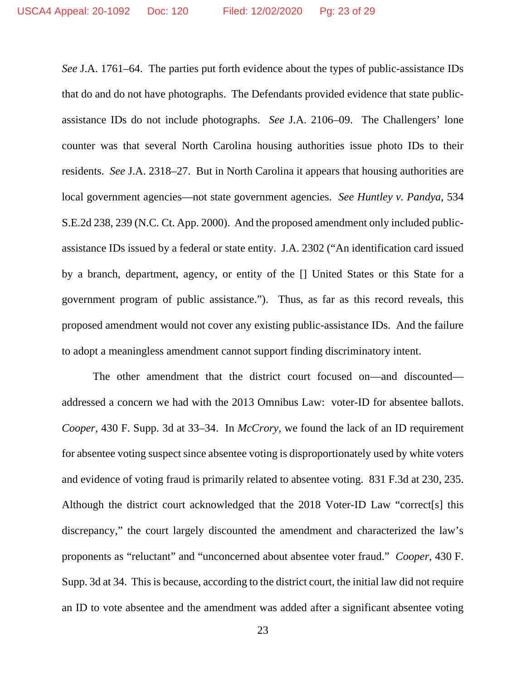*See* J.A. 1761–64. The parties put forth evidence about the types of public-assistance IDs that do and do not have photographs. The Defendants provided evidence that state publicassistance IDs do not include photographs. *See* J.A. 2106–09. The Challengers' lone counter was that several North Carolina housing authorities issue photo IDs to their residents. *See* J.A. 2318–27. But in North Carolina it appears that housing authorities are local government agencies—not state government agencies. *See Huntley v. Pandya*, 534 S.E.2d 238, 239 (N.C. Ct. App. 2000). And the proposed amendment only included publicassistance IDs issued by a federal or state entity. J.A. 2302 ("An identification card issued by a branch, department, agency, or entity of the [] United States or this State for a government program of public assistance."). Thus, as far as this record reveals, this proposed amendment would not cover any existing public-assistance IDs. And the failure to adopt a meaningless amendment cannot support finding discriminatory intent.

The other amendment that the district court focused on—and discounted addressed a concern we had with the 2013 Omnibus Law: voter-ID for absentee ballots. *Cooper*, 430 F. Supp. 3d at 33–34. In *McCrory*, we found the lack of an ID requirement for absentee voting suspect since absentee voting is disproportionately used by white voters and evidence of voting fraud is primarily related to absentee voting. 831 F.3d at 230, 235. Although the district court acknowledged that the 2018 Voter-ID Law "correct[s] this discrepancy," the court largely discounted the amendment and characterized the law's proponents as "reluctant" and "unconcerned about absentee voter fraud." *Cooper*, 430 F. Supp. 3d at 34. This is because, according to the district court, the initial law did not require an ID to vote absentee and the amendment was added after a significant absentee voting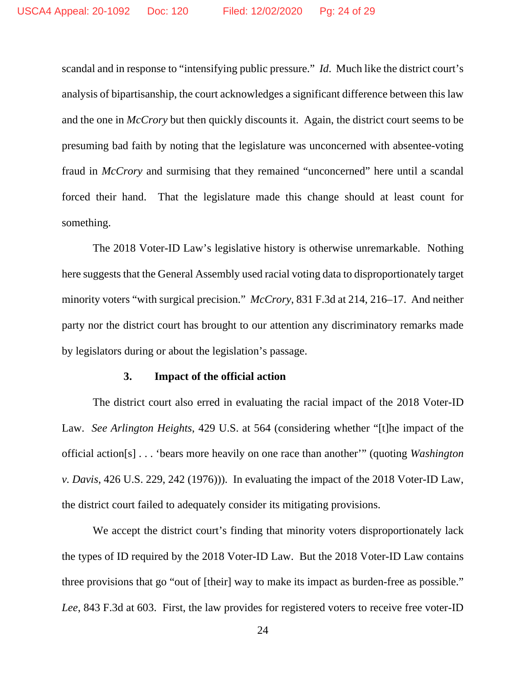scandal and in response to "intensifying public pressure." *Id*. Much like the district court's analysis of bipartisanship, the court acknowledges a significant difference between this law and the one in *McCrory* but then quickly discounts it. Again, the district court seems to be presuming bad faith by noting that the legislature was unconcerned with absentee-voting fraud in *McCrory* and surmising that they remained "unconcerned" here until a scandal forced their hand. That the legislature made this change should at least count for something.

The 2018 Voter-ID Law's legislative history is otherwise unremarkable. Nothing here suggests that the General Assembly used racial voting data to disproportionately target minority voters "with surgical precision." *McCrory*, 831 F.3d at 214, 216–17. And neither party nor the district court has brought to our attention any discriminatory remarks made by legislators during or about the legislation's passage.

#### **3. Impact of the official action**

The district court also erred in evaluating the racial impact of the 2018 Voter-ID Law. *See Arlington Heights*, 429 U.S. at 564 (considering whether "[t]he impact of the official action[s] . . . 'bears more heavily on one race than another'" (quoting *Washington v. Davis*, 426 U.S. 229, 242 (1976))). In evaluating the impact of the 2018 Voter-ID Law, the district court failed to adequately consider its mitigating provisions.

We accept the district court's finding that minority voters disproportionately lack the types of ID required by the 2018 Voter-ID Law. But the 2018 Voter-ID Law contains three provisions that go "out of [their] way to make its impact as burden-free as possible." *Lee*, 843 F.3d at 603. First, the law provides for registered voters to receive free voter-ID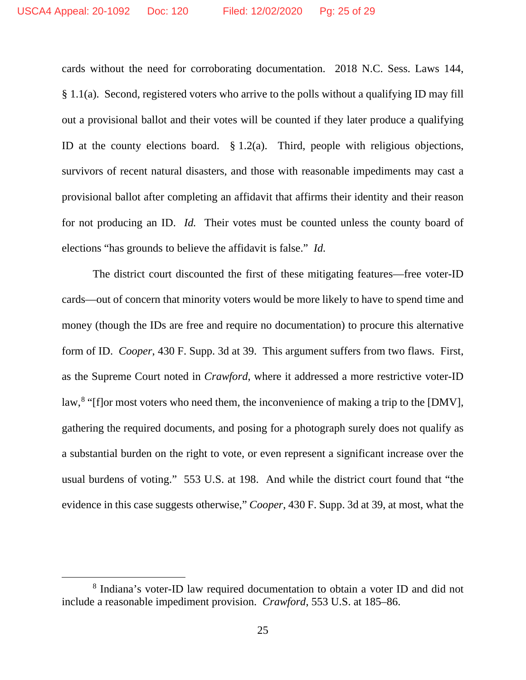cards without the need for corroborating documentation. 2018 N.C. Sess. Laws 144, § 1.1(a). Second, registered voters who arrive to the polls without a qualifying ID may fill out a provisional ballot and their votes will be counted if they later produce a qualifying ID at the county elections board. § 1.2(a). Third, people with religious objections, survivors of recent natural disasters, and those with reasonable impediments may cast a provisional ballot after completing an affidavit that affirms their identity and their reason for not producing an ID. *Id.* Their votes must be counted unless the county board of elections "has grounds to believe the affidavit is false." *Id.*

The district court discounted the first of these mitigating features—free voter-ID cards—out of concern that minority voters would be more likely to have to spend time and money (though the IDs are free and require no documentation) to procure this alternative form of ID. *Cooper*, 430 F. Supp. 3d at 39. This argument suffers from two flaws. First, as the Supreme Court noted in *Crawford*, where it addressed a more restrictive voter-ID law,<sup>[8](#page-24-0)</sup> "[f]or most voters who need them, the inconvenience of making a trip to the [DMV], gathering the required documents, and posing for a photograph surely does not qualify as a substantial burden on the right to vote, or even represent a significant increase over the usual burdens of voting." 553 U.S. at 198. And while the district court found that "the evidence in this case suggests otherwise," *Cooper*, 430 F. Supp. 3d at 39, at most, what the

<span id="page-24-0"></span><sup>8</sup> Indiana's voter-ID law required documentation to obtain a voter ID and did not include a reasonable impediment provision. *Crawford*, 553 U.S. at 185–86.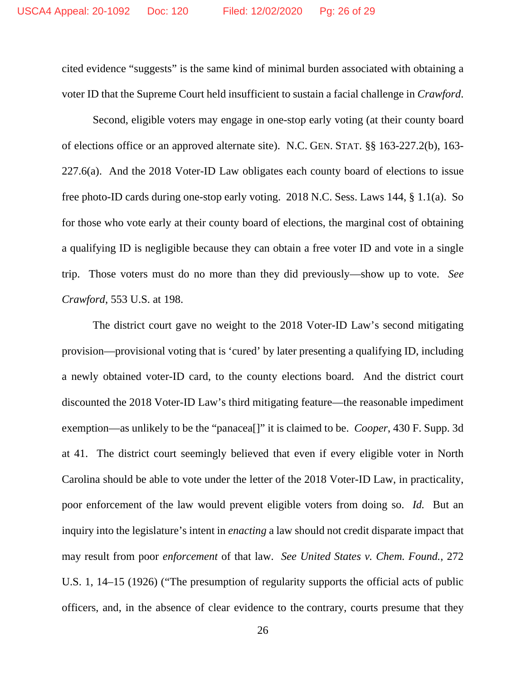cited evidence "suggests" is the same kind of minimal burden associated with obtaining a voter ID that the Supreme Court held insufficient to sustain a facial challenge in *Crawford*.

Second, eligible voters may engage in one-stop early voting (at their county board of elections office or an approved alternate site). N.C. GEN. STAT. §§ 163-227.2(b), 163- 227.6(a). And the 2018 Voter-ID Law obligates each county board of elections to issue free photo-ID cards during one-stop early voting. 2018 N.C. Sess. Laws 144, § 1.1(a). So for those who vote early at their county board of elections, the marginal cost of obtaining a qualifying ID is negligible because they can obtain a free voter ID and vote in a single trip. Those voters must do no more than they did previously—show up to vote. *See Crawford*, 553 U.S. at 198.

The district court gave no weight to the 2018 Voter-ID Law's second mitigating provision—provisional voting that is 'cured' by later presenting a qualifying ID, including a newly obtained voter-ID card, to the county elections board. And the district court discounted the 2018 Voter-ID Law's third mitigating feature—the reasonable impediment exemption—as unlikely to be the "panacea[]" it is claimed to be. *Cooper*, 430 F. Supp. 3d at 41. The district court seemingly believed that even if every eligible voter in North Carolina should be able to vote under the letter of the 2018 Voter-ID Law, in practicality, poor enforcement of the law would prevent eligible voters from doing so. *Id.* But an inquiry into the legislature's intent in *enacting* a law should not credit disparate impact that may result from poor *enforcement* of that law. *See United States v. Chem. Found.*, 272 U.S. 1, 14–15 (1926) ("The presumption of regularity supports the official acts of public officers, and, in the absence of clear evidence to the contrary, courts presume that they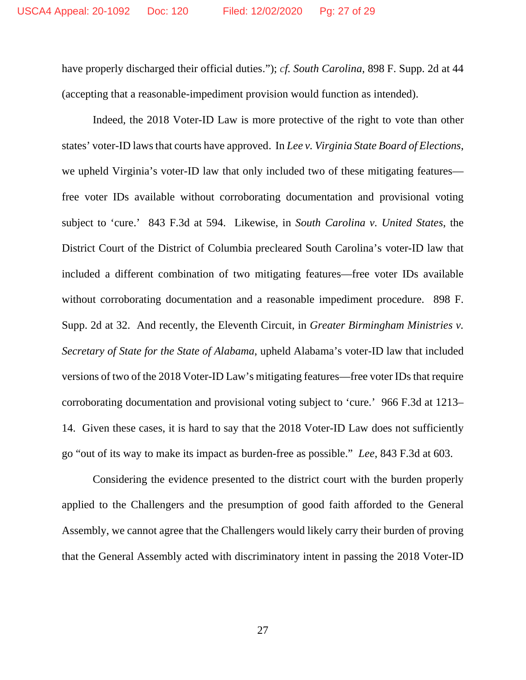have properly discharged their official duties."); *cf. South Carolina*, 898 F. Supp. 2d at 44 (accepting that a reasonable-impediment provision would function as intended).

Indeed, the 2018 Voter-ID Law is more protective of the right to vote than other states' voter-ID laws that courts have approved. In *Lee v. Virginia State Board of Elections*, we upheld Virginia's voter-ID law that only included two of these mitigating features free voter IDs available without corroborating documentation and provisional voting subject to 'cure.' 843 F.3d at 594. Likewise, in *South Carolina v. United States*, the District Court of the District of Columbia precleared South Carolina's voter-ID law that included a different combination of two mitigating features—free voter IDs available without corroborating documentation and a reasonable impediment procedure. 898 F. Supp. 2d at 32. And recently, the Eleventh Circuit, in *Greater Birmingham Ministries v. Secretary of State for the State of Alabama*, upheld Alabama's voter-ID law that included versions of two of the 2018 Voter-ID Law's mitigating features—free voter IDs that require corroborating documentation and provisional voting subject to 'cure.' 966 F.3d at 1213– 14. Given these cases, it is hard to say that the 2018 Voter-ID Law does not sufficiently go "out of its way to make its impact as burden-free as possible." *Lee*, 843 F.3d at 603.

Considering the evidence presented to the district court with the burden properly applied to the Challengers and the presumption of good faith afforded to the General Assembly, we cannot agree that the Challengers would likely carry their burden of proving that the General Assembly acted with discriminatory intent in passing the 2018 Voter-ID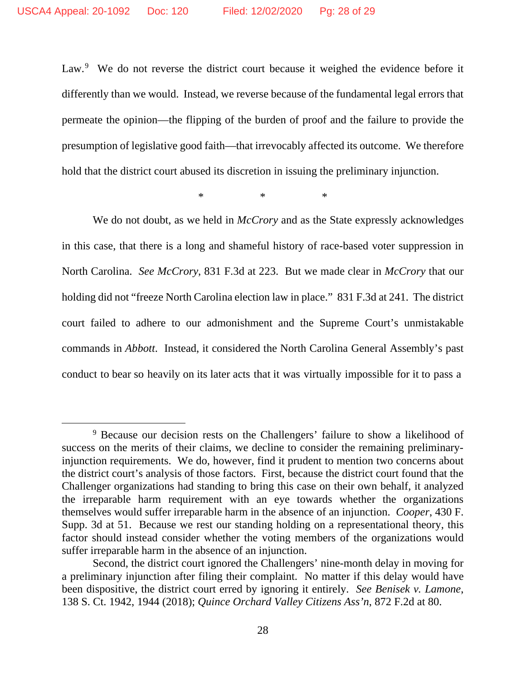Law.<sup>[9](#page-27-0)</sup> We do not reverse the district court because it weighed the evidence before it differently than we would. Instead, we reverse because of the fundamental legal errors that permeate the opinion—the flipping of the burden of proof and the failure to provide the presumption of legislative good faith—that irrevocably affected its outcome. We therefore hold that the district court abused its discretion in issuing the preliminary injunction.

 $*$  \* \*

We do not doubt, as we held in *McCrory* and as the State expressly acknowledges in this case, that there is a long and shameful history of race-based voter suppression in North Carolina. *See McCrory*, 831 F.3d at 223. But we made clear in *McCrory* that our holding did not "freeze North Carolina election law in place." 831 F.3d at 241. The district court failed to adhere to our admonishment and the Supreme Court's unmistakable commands in *Abbott*. Instead, it considered the North Carolina General Assembly's past conduct to bear so heavily on its later acts that it was virtually impossible for it to pass a

<span id="page-27-0"></span><sup>9</sup> Because our decision rests on the Challengers' failure to show a likelihood of success on the merits of their claims, we decline to consider the remaining preliminaryinjunction requirements. We do, however, find it prudent to mention two concerns about the district court's analysis of those factors. First, because the district court found that the Challenger organizations had standing to bring this case on their own behalf, it analyzed the irreparable harm requirement with an eye towards whether the organizations themselves would suffer irreparable harm in the absence of an injunction. *Cooper*, 430 F. Supp. 3d at 51. Because we rest our standing holding on a representational theory, this factor should instead consider whether the voting members of the organizations would suffer irreparable harm in the absence of an injunction.

Second, the district court ignored the Challengers' nine-month delay in moving for a preliminary injunction after filing their complaint. No matter if this delay would have been dispositive, the district court erred by ignoring it entirely. *See Benisek v. Lamone*, 138 S. Ct. 1942, 1944 (2018); *Quince Orchard Valley Citizens Ass'n*, 872 F.2d at 80.